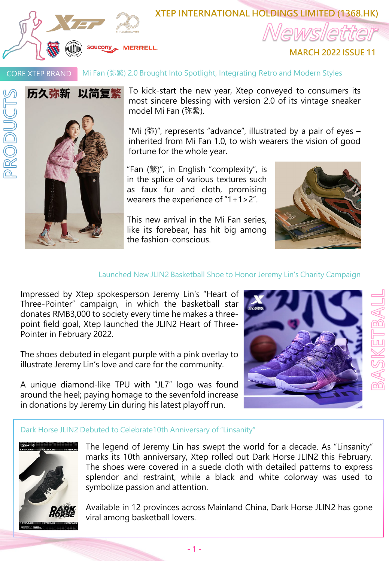

# **XTEP INTERNATIONAL HOLDINGS LIMITED (1368.HK)**

**MARCH 2022 ISSUE 11**

Mi Fan (弥繁) 2.0 Brought Into Spotlight, Integrating Retro and Modern Styles CORE XTEP BRAND



PRODUCTS

To kick-start the new year, Xtep conveyed to consumers its most sincere blessing with version 2.0 of its vintage sneaker model Mi Fan (弥繁).

"Mi  $(\frac{2}{3})$ ", represents "advance", illustrated by a pair of eyes inherited from Mi Fan 1.0, to wish wearers the vision of good fortune for the whole year.

"Fan (繁)", in English "complexity", is in the splice of various textures such as faux fur and cloth, promising wearers the experience of "1+1>2".

This new arrival in the Mi Fan series, like its forebear, has hit big among the fashion-conscious.



### Launched New JLIN2 Basketball Shoe to Honor Jeremy Lin's Charity Campaign

Impressed by Xtep spokesperson Jeremy Lin's "Heart of Three-Pointer" campaign, in which the basketball star donates RMB3,000 to society every time he makes a threepoint field goal, Xtep launched the JLIN2 Heart of Three-Pointer in February 2022.

The shoes debuted in elegant purple with a pink overlay to illustrate Jeremy Lin's love and care for the community.

A unique diamond-like TPU with "JL7" logo was found around the heel; paying homage to the sevenfold increase in donations by Jeremy Lin during his latest playoff run.



രി

#### Dark Horse JLIN2 Debuted to Celebrate10th Anniversary of "Linsanity"



The legend of Jeremy Lin has swept the world for a decade. As "Linsanity" marks its 10th anniversary, Xtep rolled out Dark Horse JLIN2 this February. The shoes were covered in a suede cloth with detailed patterns to express splendor and restraint, while a black and white colorway was used to symbolize passion and attention.

Available in 12 provinces across Mainland China, Dark Horse JLIN2 has gone viral among basketball lovers.